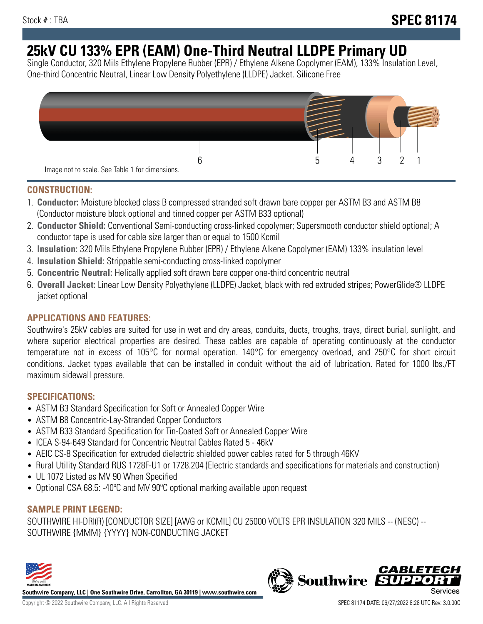# **25kV CU 133% EPR (EAM) One-Third Neutral LLDPE Primary UD**

Single Conductor, 320 Mils Ethylene Propylene Rubber (EPR) / Ethylene Alkene Copolymer (EAM), 133% Insulation Level, One-third Concentric Neutral, Linear Low Density Polyethylene (LLDPE) Jacket. Silicone Free



## **CONSTRUCTION:**

- 1. **Conductor:** Moisture blocked class B compressed stranded soft drawn bare copper per ASTM B3 and ASTM B8 (Conductor moisture block optional and tinned copper per ASTM B33 optional)
- 2. **Conductor Shield:** Conventional Semi-conducting cross-linked copolymer; Supersmooth conductor shield optional; A conductor tape is used for cable size larger than or equal to 1500 Kcmil
- 3. **Insulation:** 320 Mils Ethylene Propylene Rubber (EPR) / Ethylene Alkene Copolymer (EAM) 133% insulation level
- 4. **Insulation Shield:** Strippable semi-conducting cross-linked copolymer
- 5. **Concentric Neutral:** Helically applied soft drawn bare copper one-third concentric neutral
- 6. **Overall Jacket:** Linear Low Density Polyethylene (LLDPE) Jacket, black with red extruded stripes; PowerGlide® LLDPE jacket optional

# **APPLICATIONS AND FEATURES:**

Southwire's 25kV cables are suited for use in wet and dry areas, conduits, ducts, troughs, trays, direct burial, sunlight, and where superior electrical properties are desired. These cables are capable of operating continuously at the conductor temperature not in excess of 105°C for normal operation. 140°C for emergency overload, and 250°C for short circuit conditions. Jacket types available that can be installed in conduit without the aid of lubrication. Rated for 1000 lbs./FT maximum sidewall pressure.

## **SPECIFICATIONS:**

- ASTM B3 Standard Specification for Soft or Annealed Copper Wire
- ASTM B8 Concentric-Lay-Stranded Copper Conductors
- ASTM B33 Standard Specification for Tin-Coated Soft or Annealed Copper Wire
- ICEA S-94-649 Standard for Concentric Neutral Cables Rated 5 46kV
- AEIC CS-8 Specification for extruded dielectric shielded power cables rated for 5 through 46KV
- Rural Utility Standard RUS 1728F-U1 or 1728.204 (Electric standards and specifications for materials and construction)
- UL 1072 Listed as MV 90 When Specified
- Optional CSA 68.5: -40°C and MV 90°C optional marking available upon request

# **SAMPLE PRINT LEGEND:**

SOUTHWIRE HI-DRI(R) [CONDUCTOR SIZE] [AWG or KCMIL] CU 25000 VOLTS EPR INSULATION 320 MILS -- (NESC) -- SOUTHWIRE {MMM} {YYYY} NON-CONDUCTING JACKET



**Southwire Company, LLC | One Southwire Drive, Carrollton, GA 30119 | www.southwire.com**